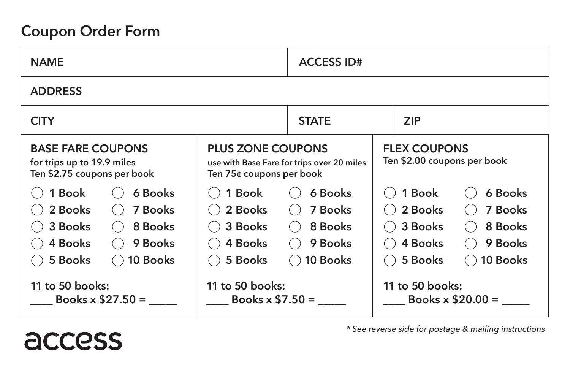## **Coupon Order Form**

access

| <b>NAME</b>                                                                                                             |                                                                                                    | <b>ACCESS ID#</b>                                    |                                                    |                                                             |  |  |  |  |  |  |
|-------------------------------------------------------------------------------------------------------------------------|----------------------------------------------------------------------------------------------------|------------------------------------------------------|----------------------------------------------------|-------------------------------------------------------------|--|--|--|--|--|--|
| <b>ADDRESS</b>                                                                                                          |                                                                                                    |                                                      |                                                    |                                                             |  |  |  |  |  |  |
| <b>CITY</b>                                                                                                             | <b>STATE</b>                                                                                       |                                                      | <b>ZIP</b>                                         |                                                             |  |  |  |  |  |  |
| <b>BASE FARE COUPONS</b><br>for trips up to 19.9 miles<br>Ten \$2.75 coupons per book                                   | <b>PLUS ZONE COUPONS</b><br>use with Base Fare for trips over 20 miles<br>Ten 75¢ coupons per book |                                                      | <b>FLEX COUPONS</b><br>Ten \$2.00 coupons per book |                                                             |  |  |  |  |  |  |
| 1 Book<br>6 Books<br>2 Books<br>7 Books<br>3 Books<br>8 Books<br>in a<br>4 Books<br>9 Books<br>(<br>10 Books<br>5 Books | 1 Book<br>2 Books<br>3 Books<br>$(\ )$<br>4 Books<br>$($ )<br>5 Books<br>(                         | 6 Books<br>7 Books<br>8 Books<br>9 Books<br>10 Books | 1 Book<br>2 Books<br>3 Books<br>4 Books<br>5 Books | 6 Books<br><b>7 Books</b><br>8 Books<br>9 Books<br>10 Books |  |  |  |  |  |  |
| 11 to 50 books:<br>Books $x$ \$27.50 =                                                                                  | 11 to 50 books:<br>Books $\times$ \$7.50 =                                                         |                                                      | 11 to 50 books:<br>Books $x$ \$20.00 =             |                                                             |  |  |  |  |  |  |

*\* See reverse side for postage & mailing instructions*